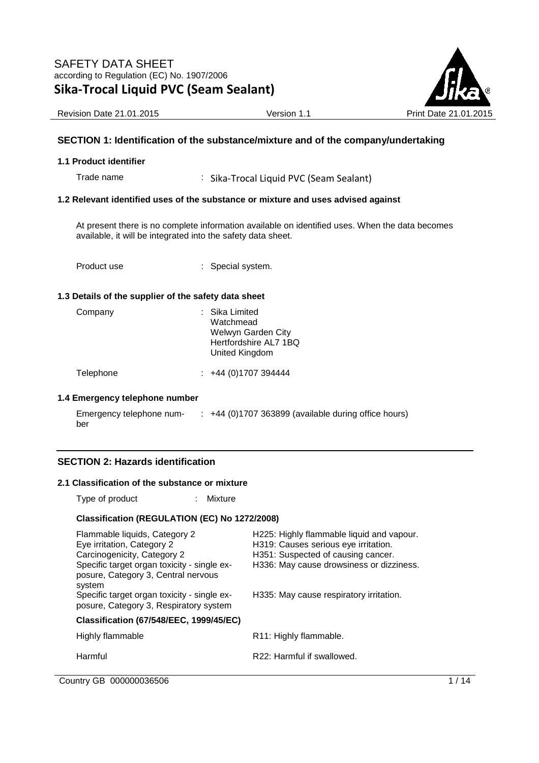

Revision Date 21.01.2015 **Version 1.1** Print Date 21.01

## **SECTION 1: Identification of the substance/mixture and of the company/undertaking**

#### **1.1 Product identifier**

Trade name : Sika-Trocal Liquid PVC (Seam Sealant)

#### **1.2 Relevant identified uses of the substance or mixture and uses advised against**

At present there is no complete information available on identified uses. When the data becomes available, it will be integrated into the safety data sheet.

Product use  $\qquad \qquad :$  Special system.

#### **1.3 Details of the supplier of the safety data sheet**

| Company | : Sika Limited<br>Watchmead<br>Welwyn Garden City<br>Hertfordshire AL7 1BQ<br>United Kingdom |
|---------|----------------------------------------------------------------------------------------------|
|         |                                                                                              |

Telephone : +44 (0)1707 394444

#### **1.4 Emergency telephone number**

| Emergency telephone num- | $\div$ +44 (0)1707 363899 (available during office hours) |
|--------------------------|-----------------------------------------------------------|
| ber                      |                                                           |

### **SECTION 2: Hazards identification**

#### **2.1 Classification of the substance or mixture**

Type of product : Mixture

#### **Classification (REGULATION (EC) No 1272/2008)**

| Flammable liquids, Category 2<br>Eye irritation, Category 2<br>Carcinogenicity, Category 2<br>Specific target organ toxicity - single ex-<br>posure, Category 3, Central nervous<br>system | H225: Highly flammable liquid and vapour.<br>H319: Causes serious eye irritation.<br>H351: Suspected of causing cancer.<br>H336: May cause drowsiness or dizziness. |
|--------------------------------------------------------------------------------------------------------------------------------------------------------------------------------------------|---------------------------------------------------------------------------------------------------------------------------------------------------------------------|
| Specific target organ toxicity - single ex-<br>posure, Category 3, Respiratory system                                                                                                      | H335: May cause respiratory irritation.                                                                                                                             |
| <b>Classification (67/548/EEC, 1999/45/EC)</b>                                                                                                                                             |                                                                                                                                                                     |
| Highly flammable                                                                                                                                                                           | R11: Highly flammable.                                                                                                                                              |
| Harmful                                                                                                                                                                                    | R22: Harmful if swallowed.                                                                                                                                          |
|                                                                                                                                                                                            |                                                                                                                                                                     |

Country GB 000000036506 1/14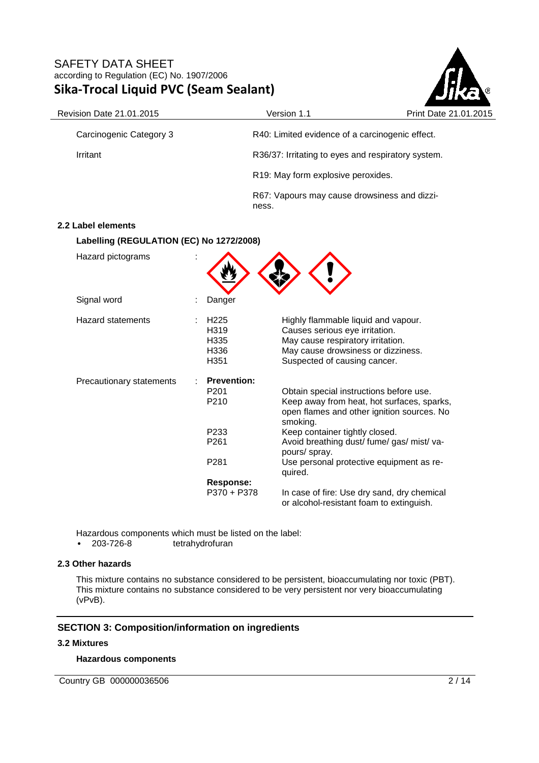

| Revision Date 21.01.2015                 |                                                                                            | Version 1.1                                                                                                                                                                                                                                                                                             | Print Date 21.01.2015 |
|------------------------------------------|--------------------------------------------------------------------------------------------|---------------------------------------------------------------------------------------------------------------------------------------------------------------------------------------------------------------------------------------------------------------------------------------------------------|-----------------------|
| Carcinogenic Category 3                  |                                                                                            | R40: Limited evidence of a carcinogenic effect.                                                                                                                                                                                                                                                         |                       |
| Irritant                                 |                                                                                            | R36/37: Irritating to eyes and respiratory system.                                                                                                                                                                                                                                                      |                       |
|                                          |                                                                                            | R19: May form explosive peroxides.                                                                                                                                                                                                                                                                      |                       |
|                                          | ness.                                                                                      | R67: Vapours may cause drowsiness and dizzi-                                                                                                                                                                                                                                                            |                       |
| 2.2 Label elements                       |                                                                                            |                                                                                                                                                                                                                                                                                                         |                       |
| Labelling (REGULATION (EC) No 1272/2008) |                                                                                            |                                                                                                                                                                                                                                                                                                         |                       |
| Hazard pictograms                        |                                                                                            |                                                                                                                                                                                                                                                                                                         |                       |
| Signal word                              | Danger                                                                                     |                                                                                                                                                                                                                                                                                                         |                       |
| <b>Hazard statements</b>                 | H <sub>225</sub><br>H <sub>319</sub><br>H335<br>H336<br>H351                               | Highly flammable liquid and vapour.<br>Causes serious eye irritation.<br>May cause respiratory irritation.<br>May cause drowsiness or dizziness.<br>Suspected of causing cancer.                                                                                                                        |                       |
| Precautionary statements                 | <b>Prevention:</b><br>P <sub>201</sub><br>P210<br>P233<br>P261<br>P281<br><b>Response:</b> | Obtain special instructions before use.<br>Keep away from heat, hot surfaces, sparks,<br>open flames and other ignition sources. No<br>smoking.<br>Keep container tightly closed.<br>Avoid breathing dust/ fume/ gas/ mist/ va-<br>pours/ spray.<br>Use personal protective equipment as re-<br>quired. |                       |
|                                          | $P370 + P378$                                                                              | In case of fire: Use dry sand, dry chemical<br>or alcohol-resistant foam to extinguish.                                                                                                                                                                                                                 |                       |

Hazardous components which must be listed on the label:<br>• 203-726-8 tetrahydrofuran

tetrahydrofuran

#### **2.3 Other hazards**

This mixture contains no substance considered to be persistent, bioaccumulating nor toxic (PBT). This mixture contains no substance considered to be very persistent nor very bioaccumulating (vPvB).

### **SECTION 3: Composition/information on ingredients**

#### **3.2 Mixtures**

### **Hazardous components**

Country GB 000000036506 2/14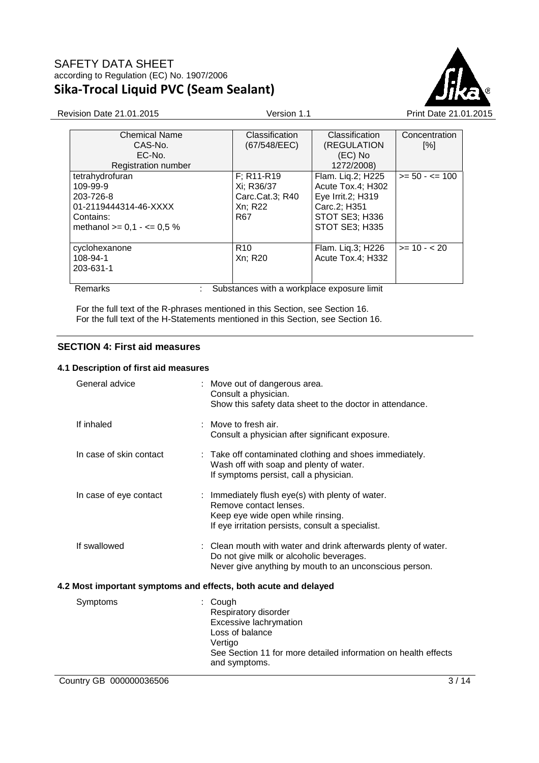

| <b>Chemical Name</b>          | Classification                             | Classification    | Concentration      |
|-------------------------------|--------------------------------------------|-------------------|--------------------|
| CAS-No.                       | (67/548/EEC)                               | (REGULATION       | $\lceil \% \rceil$ |
| EC-No.                        |                                            | (EC) No           |                    |
| <b>Registration number</b>    |                                            | 1272/2008)        |                    |
| tetrahydrofuran               | $F$ ; R <sub>11</sub> -R <sub>19</sub>     | Flam. Liq.2; H225 | $>= 50 - \le 100$  |
| 109-99-9                      | Xi; R36/37                                 | Acute Tox.4; H302 |                    |
| 203-726-8                     | Carc.Cat.3; R40                            | Eye Irrit.2; H319 |                    |
| 01-2119444314-46-XXXX         | Xn; R22                                    | Carc.2; H351      |                    |
| Contains:                     | R67                                        | STOT SE3; H336    |                    |
| methanol $>= 0.1 - \le 0.5$ % |                                            | STOT SE3; H335    |                    |
|                               |                                            |                   |                    |
| cyclohexanone                 | R <sub>10</sub>                            | Flam. Liq.3; H226 | $>= 10 - 20$       |
| 108-94-1                      | Xn; R20                                    | Acute Tox.4; H332 |                    |
| 203-631-1                     |                                            |                   |                    |
|                               |                                            |                   |                    |
| Remarks                       | Substances with a workplace exposure limit |                   |                    |

For the full text of the R-phrases mentioned in this Section, see Section 16. For the full text of the H-Statements mentioned in this Section, see Section 16.

# **SECTION 4: First aid measures**

### **4.1 Description of first aid measures**

| General advice                                                  | : Move out of dangerous area.<br>Consult a physician.<br>Show this safety data sheet to the doctor in attendance.                                                        |  |
|-----------------------------------------------------------------|--------------------------------------------------------------------------------------------------------------------------------------------------------------------------|--|
| If inhaled                                                      | Move to fresh air.<br>Consult a physician after significant exposure.                                                                                                    |  |
| In case of skin contact                                         | : Take off contaminated clothing and shoes immediately.<br>Wash off with soap and plenty of water.<br>If symptoms persist, call a physician.                             |  |
| In case of eye contact                                          | : Immediately flush eye(s) with plenty of water.<br>Remove contact lenses.<br>Keep eye wide open while rinsing.<br>If eye irritation persists, consult a specialist.     |  |
| If swallowed                                                    | : Clean mouth with water and drink afterwards plenty of water.<br>Do not give milk or alcoholic beverages.<br>Never give anything by mouth to an unconscious person.     |  |
| 4.2 Most important symptoms and effects, both acute and delayed |                                                                                                                                                                          |  |
| Symptoms                                                        | Cough<br>Respiratory disorder<br>Excessive lachrymation<br>Loss of balance<br>Vertigo<br>See Section 11 for more detailed information on health effects<br>and symptoms. |  |
| Country GB 000000036506                                         | 3/14                                                                                                                                                                     |  |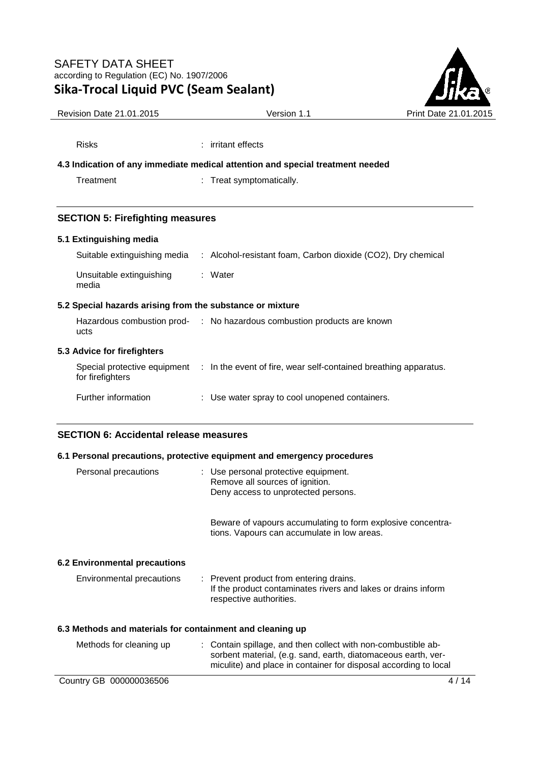Risks : irritant effects



| <b>Revision Date 21.01.2015</b> | Version 1 | <b>Print Da</b> |
|---------------------------------|-----------|-----------------|
|                                 |           |                 |

| 4.3 Indication of any immediate medical attention and special treatment needed |                                                                                           |  |
|--------------------------------------------------------------------------------|-------------------------------------------------------------------------------------------|--|
| Treatment                                                                      | : Treat symptomatically.                                                                  |  |
|                                                                                |                                                                                           |  |
| <b>SECTION 5: Firefighting measures</b>                                        |                                                                                           |  |
| 5.1 Extinguishing media                                                        |                                                                                           |  |
|                                                                                | Suitable extinguishing media : Alcohol-resistant foam, Carbon dioxide (CO2), Dry chemical |  |
| Unsuitable extinguishing<br>media                                              | : Water                                                                                   |  |
| 5.2 Special hazards arising from the substance or mixture                      |                                                                                           |  |
|                                                                                | Hazardous combustion prod- : No hazardous combustion products are known                   |  |

# **5.3 Advice for firefighters**

ucts

| Special protective equipment<br>for firefighters | : In the event of fire, wear self-contained breathing apparatus. |
|--------------------------------------------------|------------------------------------------------------------------|
| Further information                              | : Use water spray to cool unopened containers.                   |

# **SECTION 6: Accidental release measures**

### **6.1 Personal precautions, protective equipment and emergency procedures**

| Personal precautions                                      | : Use personal protective equipment.<br>Remove all sources of ignition.<br>Deny access to unprotected persons.                                                                                     |
|-----------------------------------------------------------|----------------------------------------------------------------------------------------------------------------------------------------------------------------------------------------------------|
|                                                           | Beware of vapours accumulating to form explosive concentra-<br>tions. Vapours can accumulate in low areas.                                                                                         |
| 6.2 Environmental precautions                             |                                                                                                                                                                                                    |
| Environmental precautions                                 | : Prevent product from entering drains.<br>If the product contaminates rivers and lakes or drains inform<br>respective authorities.                                                                |
| 6.3 Methods and materials for containment and cleaning up |                                                                                                                                                                                                    |
| Methods for cleaning up                                   | : Contain spillage, and then collect with non-combustible ab-<br>sorbent material, (e.g. sand, earth, diatomaceous earth, ver-<br>miculite) and place in container for disposal according to local |
| Country GB 000000036506                                   | 14 '<br>41                                                                                                                                                                                         |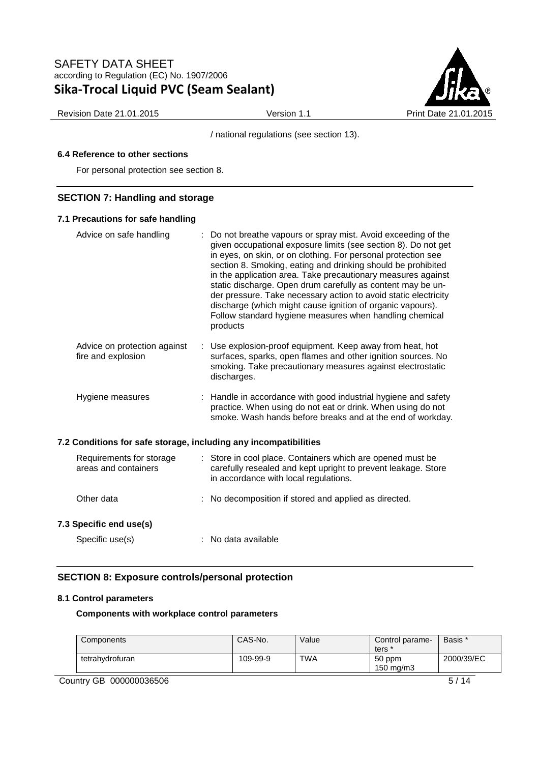

Revision Date 21.01.2015 **Version 1.1** Version 1.1 Print Date 21.01.2015

/ national regulations (see section 13).

## **6.4 Reference to other sections**

For personal protection see section 8.

## **SECTION 7: Handling and storage**

#### **7.1 Precautions for safe handling**

| Advice on safe handling                                          | : Do not breathe vapours or spray mist. Avoid exceeding of the<br>given occupational exposure limits (see section 8). Do not get<br>in eyes, on skin, or on clothing. For personal protection see<br>section 8. Smoking, eating and drinking should be prohibited<br>in the application area. Take precautionary measures against<br>static discharge. Open drum carefully as content may be un-<br>der pressure. Take necessary action to avoid static electricity<br>discharge (which might cause ignition of organic vapours).<br>Follow standard hygiene measures when handling chemical<br>products |
|------------------------------------------------------------------|----------------------------------------------------------------------------------------------------------------------------------------------------------------------------------------------------------------------------------------------------------------------------------------------------------------------------------------------------------------------------------------------------------------------------------------------------------------------------------------------------------------------------------------------------------------------------------------------------------|
| Advice on protection against<br>fire and explosion               | : Use explosion-proof equipment. Keep away from heat, hot<br>surfaces, sparks, open flames and other ignition sources. No<br>smoking. Take precautionary measures against electrostatic<br>discharges.                                                                                                                                                                                                                                                                                                                                                                                                   |
| Hygiene measures                                                 | : Handle in accordance with good industrial hygiene and safety<br>practice. When using do not eat or drink. When using do not<br>smoke. Wash hands before breaks and at the end of workday.                                                                                                                                                                                                                                                                                                                                                                                                              |
| 7.2 Conditions for safe storage, including any incompatibilities |                                                                                                                                                                                                                                                                                                                                                                                                                                                                                                                                                                                                          |
| Requirements for storage<br>areas and containers                 | : Store in cool place. Containers which are opened must be<br>carefully resealed and kept upright to prevent leakage. Store<br>in accordance with local regulations.                                                                                                                                                                                                                                                                                                                                                                                                                                     |
| Other data                                                       | : No decomposition if stored and applied as directed.                                                                                                                                                                                                                                                                                                                                                                                                                                                                                                                                                    |
| 7.3 Specific end use(s)                                          |                                                                                                                                                                                                                                                                                                                                                                                                                                                                                                                                                                                                          |
| Specific use(s)                                                  | : No data available                                                                                                                                                                                                                                                                                                                                                                                                                                                                                                                                                                                      |

# **SECTION 8: Exposure controls/personal protection**

#### **8.1 Control parameters**

**Components with workplace control parameters** 

| Components      | CAS-No.  | Value      | Control parame-<br>ters        | Basis *    |
|-----------------|----------|------------|--------------------------------|------------|
| tetrahydrofuran | 109-99-9 | <b>TWA</b> | 50 ppm<br>$150 \text{ ma/m}$ 3 | 2000/39/EC |

Country GB 000000036506 5 5 / 14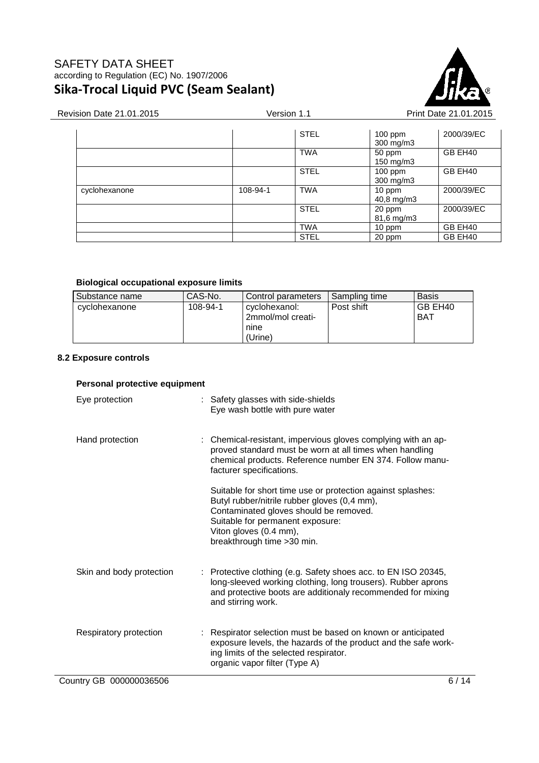

| Revision Date 21.01.2015 | Version 1.1 |             |                        | Print Date 21.01.2015 |  |
|--------------------------|-------------|-------------|------------------------|-----------------------|--|
|                          |             | <b>STEL</b> | $100$ ppm<br>300 mg/m3 | 2000/39/EC            |  |
|                          |             | <b>TWA</b>  | 50 ppm<br>150 mg/m3    | GB EH40               |  |
|                          |             | <b>STEL</b> | $100$ ppm<br>300 mg/m3 | GB EH40               |  |
| cyclohexanone            | 108-94-1    | <b>TWA</b>  | 10 ppm<br>40,8 mg/m3   | 2000/39/EC            |  |
|                          |             | <b>STEL</b> | 20 ppm<br>81,6 mg/m3   | 2000/39/EC            |  |
|                          |             | <b>TWA</b>  | 10 ppm                 | GB EH40               |  |
|                          |             | <b>STEL</b> | 20 ppm                 | GB EH40               |  |

#### **Biological occupational exposure limits**

| Substance name | CAS-No.  | Control parameters                                    | Sampling time | <b>Basis</b>   |
|----------------|----------|-------------------------------------------------------|---------------|----------------|
| cyclohexanone  | 108-94-1 | cyclohexanol:<br>2mmol/mol creati-<br>nine<br>(Urine) | Post shift    | GB EH40<br>BAT |

## **8.2 Exposure controls**

## **Personal protective equipment**

| Eye protection           | : Safety glasses with side-shields<br>Eye wash bottle with pure water                                                                                                                                                                              |
|--------------------------|----------------------------------------------------------------------------------------------------------------------------------------------------------------------------------------------------------------------------------------------------|
| Hand protection          | : Chemical-resistant, impervious gloves complying with an ap-<br>proved standard must be worn at all times when handling<br>chemical products. Reference number EN 374. Follow manu-<br>facturer specifications.                                   |
|                          | Suitable for short time use or protection against splashes:<br>Butyl rubber/nitrile rubber gloves (0,4 mm),<br>Contaminated gloves should be removed.<br>Suitable for permanent exposure:<br>Viton gloves (0.4 mm),<br>breakthrough time > 30 min. |
| Skin and body protection | : Protective clothing (e.g. Safety shoes acc. to EN ISO 20345,<br>long-sleeved working clothing, long trousers). Rubber aprons<br>and protective boots are additionaly recommended for mixing<br>and stirring work.                                |
| Respiratory protection   | Respirator selection must be based on known or anticipated<br>exposure levels, the hazards of the product and the safe work-<br>ing limits of the selected respirator.<br>organic vapor filter (Type A)                                            |
| Country GB 000000036506  | 6/14                                                                                                                                                                                                                                               |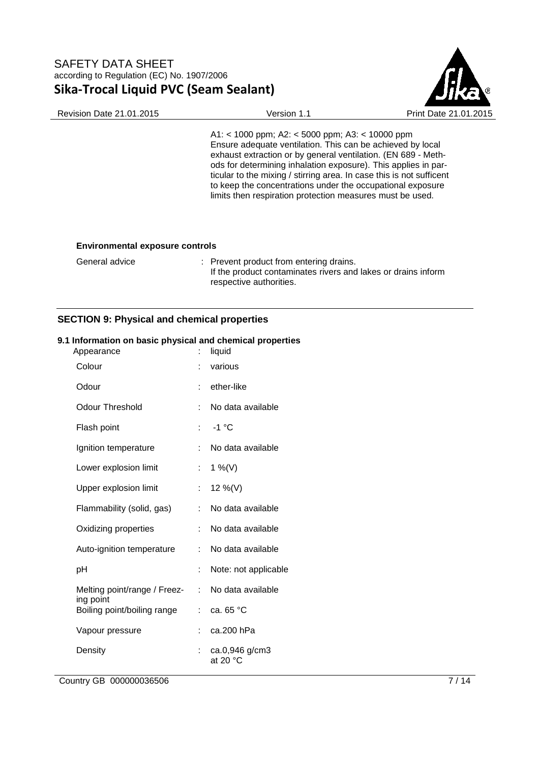

A1: < 1000 ppm; A2: < 5000 ppm; A3: < 10000 ppm Ensure adequate ventilation. This can be achieved by local exhaust extraction or by general ventilation. (EN 689 - Methods for determining inhalation exposure). This applies in particular to the mixing / stirring area. In case this is not sufficent to keep the concentrations under the occupational exposure limits then respiration protection measures must be used.

#### **Environmental exposure controls**

| General advice | : Prevent product from entering drains.                       |
|----------------|---------------------------------------------------------------|
|                | If the product contaminates rivers and lakes or drains inform |
|                | respective authorities.                                       |

### **SECTION 9: Physical and chemical properties**

#### **9.1 Information on basic physical and chemical properties**

| Appearance                               |    | liquid                       |
|------------------------------------------|----|------------------------------|
| Colour                                   | t  | various                      |
| Odour                                    |    | ether-like                   |
| Odour Threshold                          | t. | No data available            |
| Flash point                              | ÷  | $-1$ °C                      |
| Ignition temperature                     |    | No data available            |
| Lower explosion limit                    | t. | 1 %(V)                       |
| Upper explosion limit                    | t. | 12 %(V)                      |
| Flammability (solid, gas)                | ÷  | No data available            |
| Oxidizing properties                     | ÷  | No data available            |
| Auto-ignition temperature                | ÷  | No data available            |
| рH                                       | t  | Note: not applicable         |
| Melting point/range / Freez-             | ÷  | No data available            |
| ing point<br>Boiling point/boiling range | t. | ca. 65 °C                    |
| Vapour pressure                          |    | ca.200 hPa                   |
| Density                                  | ÷  | ca.0,946 g/cm3<br>at 20 $°C$ |
|                                          |    |                              |

Country GB 000000036506 7/14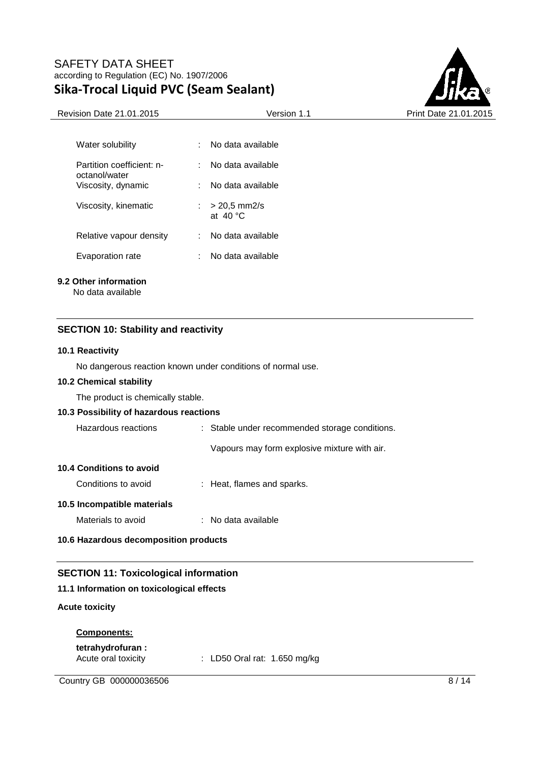

| Water solubility                           | No data available                           |
|--------------------------------------------|---------------------------------------------|
| Partition coefficient: n-<br>octanol/water | No data available                           |
| Viscosity, dynamic                         | No data available                           |
| Viscosity, kinematic                       | $> 20.5$ mm2/s<br>1. L<br>at $40^{\circ}$ C |
| Relative vapour density                    | No data available                           |
| Evaporation rate                           | No data available                           |

#### **9.2 Other information**

No data available

## **SECTION 10: Stability and reactivity**

#### **10.1 Reactivity**

No dangerous reaction known under conditions of normal use.

#### **10.2 Chemical stability**

The product is chemically stable.

#### **10.3 Possibility of hazardous reactions**

| Hazardous reactions             | : Stable under recommended storage conditions. |
|---------------------------------|------------------------------------------------|
|                                 | Vapours may form explosive mixture with air.   |
| <b>10.4 Conditions to avoid</b> |                                                |
| Conditions to avoid             | : Heat, flames and sparks.                     |
|                                 |                                                |

## **10.5 Incompatible materials**

Materials to avoid : No data available

## **10.6 Hazardous decomposition products**

# **SECTION 11: Toxicological information**

### **11.1 Information on toxicological effects**

#### **Acute toxicity**

### **Components:**

**tetrahydrofuran :** 

Acute oral toxicity : LD50 Oral rat: 1.650 mg/kg

Country GB 000000036506 8/14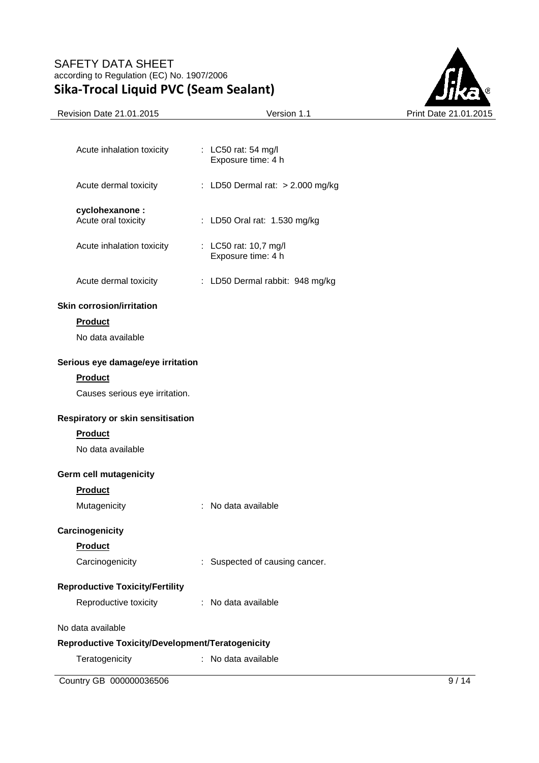

| Acute inhalation toxicity                        | : LC50 rat: 54 mg/l<br>Exposure time: 4 h   |      |
|--------------------------------------------------|---------------------------------------------|------|
| Acute dermal toxicity                            | : LD50 Dermal rat: $> 2.000$ mg/kg          |      |
| cyclohexanone:                                   |                                             |      |
| Acute oral toxicity                              | : LD50 Oral rat: 1.530 mg/kg                |      |
| Acute inhalation toxicity                        | : LC50 rat: 10,7 mg/l<br>Exposure time: 4 h |      |
| Acute dermal toxicity                            | : LD50 Dermal rabbit: 948 mg/kg             |      |
| <b>Skin corrosion/irritation</b>                 |                                             |      |
| <b>Product</b>                                   |                                             |      |
| No data available                                |                                             |      |
| Serious eye damage/eye irritation                |                                             |      |
| <b>Product</b>                                   |                                             |      |
| Causes serious eye irritation.                   |                                             |      |
| Respiratory or skin sensitisation                |                                             |      |
| <b>Product</b>                                   |                                             |      |
| No data available                                |                                             |      |
| Germ cell mutagenicity                           |                                             |      |
| <b>Product</b>                                   |                                             |      |
| Mutagenicity                                     | : No data available                         |      |
| Carcinogenicity                                  |                                             |      |
| <b>Product</b>                                   |                                             |      |
| Carcinogenicity                                  | : Suspected of causing cancer.              |      |
| <b>Reproductive Toxicity/Fertility</b>           |                                             |      |
| Reproductive toxicity                            | : No data available                         |      |
| No data available                                |                                             |      |
| Reproductive Toxicity/Development/Teratogenicity |                                             |      |
| Teratogenicity                                   | : No data available                         |      |
| Country GB 000000036506                          |                                             | 9/14 |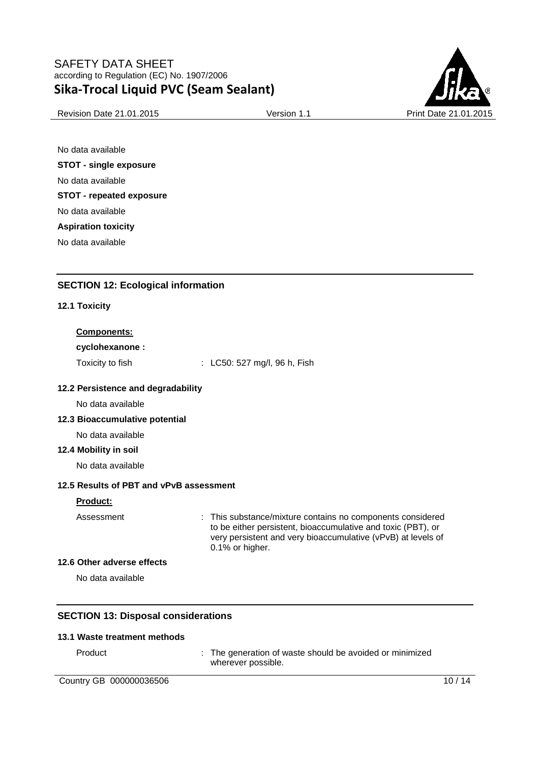

Revision Date 21.01.2015 **Version 1.1** Print Date 21.01

No data available **STOT - single exposure**  No data available **STOT - repeated exposure**  No data available **Aspiration toxicity**  No data available

**SECTION 12: Ecological information** 

# **12.1 Toxicity**

# **Components:**

**cyclohexanone :** 

Toxicity to fish : LC50: 527 mg/l, 96 h, Fish

# **12.2 Persistence and degradability**

No data available

# **12.3 Bioaccumulative potential**

No data available

# **12.4 Mobility in soil**

No data available

# **12.5 Results of PBT and vPvB assessment**

### **Product:**

Assessment : This substance/mixture contains no components considered to be either persistent, bioaccumulative and toxic (PBT), or very persistent and very bioaccumulative (vPvB) at levels of 0.1% or higher.

### **12.6 Other adverse effects**

No data available

# **SECTION 13: Disposal considerations**

### **13.1 Waste treatment methods**

Product : The generation of waste should be avoided or minimized wherever possible.

Country GB 000000036506 10 / 14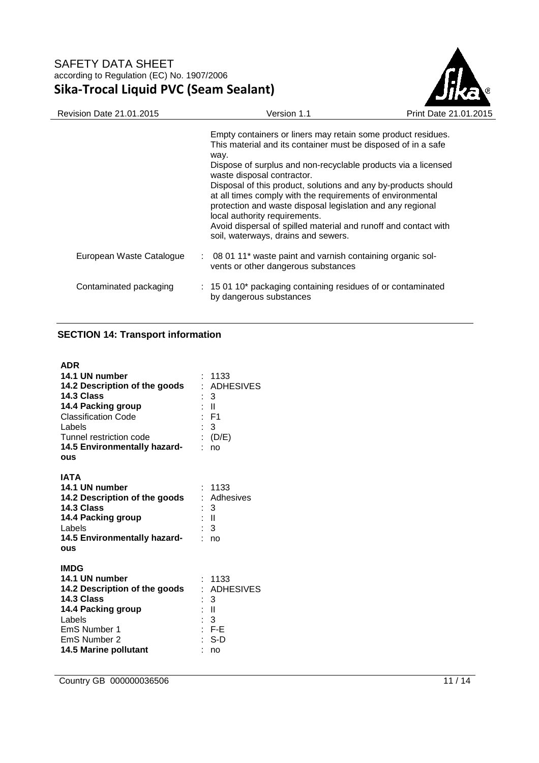

| <b>Revision Date 21.01.2015</b> | Version 1.1                                                                                                                                                                                                                                                                                                                                                                                                                                                                                                                                                                   | Print Date 21.01.2015 |
|---------------------------------|-------------------------------------------------------------------------------------------------------------------------------------------------------------------------------------------------------------------------------------------------------------------------------------------------------------------------------------------------------------------------------------------------------------------------------------------------------------------------------------------------------------------------------------------------------------------------------|-----------------------|
|                                 | Empty containers or liners may retain some product residues.<br>This material and its container must be disposed of in a safe<br>way.<br>Dispose of surplus and non-recyclable products via a licensed<br>waste disposal contractor.<br>Disposal of this product, solutions and any by-products should<br>at all times comply with the requirements of environmental<br>protection and waste disposal legislation and any regional<br>local authority requirements.<br>Avoid dispersal of spilled material and runoff and contact with<br>soil, waterways, drains and sewers. |                       |
| European Waste Catalogue        | : 08 01 11* waste paint and varnish containing organic sol-<br>vents or other dangerous substances                                                                                                                                                                                                                                                                                                                                                                                                                                                                            |                       |
| Contaminated packaging          | $: 150110*$ packaging containing residues of or contaminated<br>by dangerous substances                                                                                                                                                                                                                                                                                                                                                                                                                                                                                       |                       |

# **SECTION 14: Transport information**

| <b>ADR</b><br>14.1 UN number<br>14.2 Description of the goods<br>14.3 Class<br>14.4 Packing group<br><b>Classification Code</b><br>Labels<br>Tunnel restriction code<br>14.5 Environmentally hazard-<br><b>OUS</b> | 1133<br>: ADHESIVES<br>: 3<br>: II<br>$E$ F1<br>$\mathbf{3}$<br>(D/E)<br>no |
|--------------------------------------------------------------------------------------------------------------------------------------------------------------------------------------------------------------------|-----------------------------------------------------------------------------|
| IATA<br>14.1 UN number<br>14.2 Description of the goods<br>14.3 Class<br>14.4 Packing group<br>Labels<br>14.5 Environmentally hazard-<br><b>OUS</b>                                                                | : 1133<br>: Adhesives<br>: 3<br>: II<br>: 3<br>no                           |
| <b>IMDG</b><br>14.1 UN number<br>14.2 Description of the goods<br>14.3 Class<br>14.4 Packing group<br>Labels<br>EmS Number 1<br>EmS Number 2<br>14.5 Marine pollutant                                              | : 1133<br>: ADHESIVES<br>: 3<br>: II<br>: 3<br>$E - F - E$<br>: S-D<br>no   |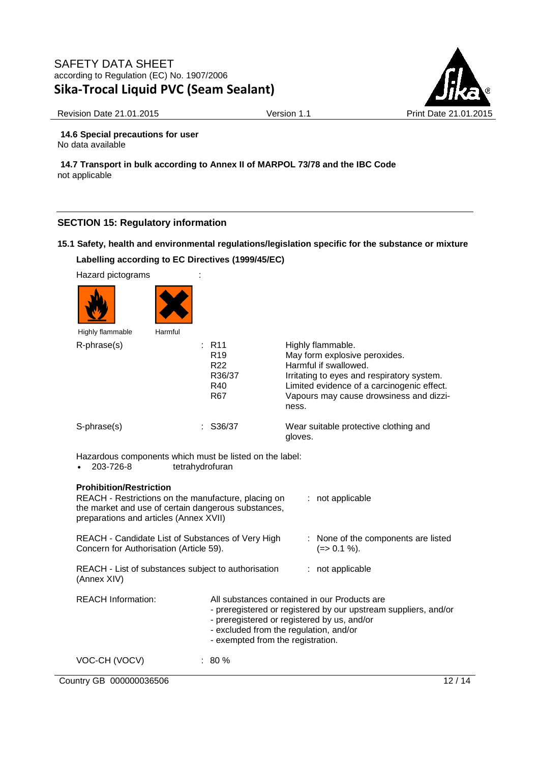

Revision Date 21.01.2015 **Version 1.1** Version 1.1 Print Date 21.01.2015

**14.6 Special precautions for user** No data available

**14.7 Transport in bulk according to Annex II of MARPOL 73/78 and the IBC Code** not applicable

# **SECTION 15: Regulatory information**

# **15.1 Safety, health and environmental regulations/legislation specific for the substance or mixture Labelling according to EC Directives (1999/45/EC)**

Hazard pictograms :





| Highly flammable | Harmful |                                                                                |                                                                                                                                                                                                                             |
|------------------|---------|--------------------------------------------------------------------------------|-----------------------------------------------------------------------------------------------------------------------------------------------------------------------------------------------------------------------------|
| R-phrase(s)      |         | $\therefore$ R11<br>R <sub>19</sub><br>R <sub>22</sub><br>R36/37<br>R40<br>R67 | Highly flammable.<br>May form explosive peroxides.<br>Harmful if swallowed.<br>Irritating to eyes and respiratory system.<br>Limited evidence of a carcinogenic effect.<br>Vapours may cause drowsiness and dizzi-<br>ness. |
| S-phrase(s)      |         | $:$ S36/37                                                                     | Wear suitable protective clothing and<br>gloves.                                                                                                                                                                            |

Hazardous components which must be listed on the label:

• 203-726-8 tetrahydrofuran

| <b>Prohibition/Restriction</b><br>REACH - Restrictions on the manufacture, placing on<br>: not applicable<br>the market and use of certain dangerous substances,<br>preparations and articles (Annex XVII) |                                                                                                                                                                                                                                               |  |                                                    |  |  |  |
|------------------------------------------------------------------------------------------------------------------------------------------------------------------------------------------------------------|-----------------------------------------------------------------------------------------------------------------------------------------------------------------------------------------------------------------------------------------------|--|----------------------------------------------------|--|--|--|
| REACH - Candidate List of Substances of Very High<br>Concern for Authorisation (Article 59).                                                                                                               |                                                                                                                                                                                                                                               |  | : None of the components are listed<br>(=> 0.1 %). |  |  |  |
| REACH - List of substances subject to authorisation<br>(Annex XIV)                                                                                                                                         |                                                                                                                                                                                                                                               |  | $:$ not applicable                                 |  |  |  |
| <b>REACH Information:</b>                                                                                                                                                                                  | All substances contained in our Products are<br>- preregistered or registered by our upstream suppliers, and/or<br>- preregistered or registered by us, and/or<br>- excluded from the regulation, and/or<br>- exempted from the registration. |  |                                                    |  |  |  |
| VOC-CH (VOCV)                                                                                                                                                                                              | $: 80 \%$                                                                                                                                                                                                                                     |  |                                                    |  |  |  |

Country GB 000000036506 12 / 14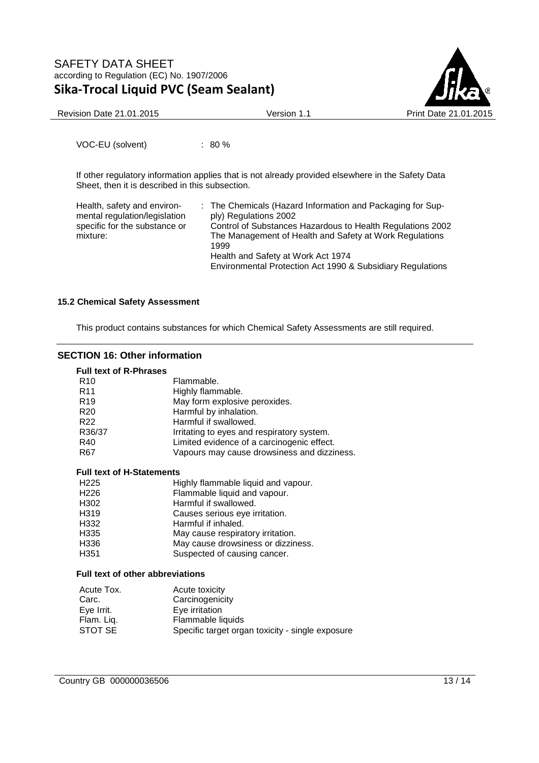

Revision Date 21.01.2015 **Version 1.1** Version 1.1 Print Date 21.01.2015

VOC-EU (solvent) : 80 %

If other regulatory information applies that is not already provided elsewhere in the Safety Data Sheet, then it is described in this subsection.

| Health, safety and environ-<br>mental regulation/legislation<br>specific for the substance or<br>mixture: | : The Chemicals (Hazard Information and Packaging for Sup-<br>ply) Regulations 2002<br>Control of Substances Hazardous to Health Regulations 2002<br>The Management of Health and Safety at Work Regulations<br>1999<br>Health and Safety at Work Act 1974 |
|-----------------------------------------------------------------------------------------------------------|------------------------------------------------------------------------------------------------------------------------------------------------------------------------------------------------------------------------------------------------------------|
|                                                                                                           | Environmental Protection Act 1990 & Subsidiary Regulations                                                                                                                                                                                                 |

### **15.2 Chemical Safety Assessment**

This product contains substances for which Chemical Safety Assessments are still required.

## **SECTION 16: Other information**

| <b>Full text of R-Phrases</b>    |                                             |
|----------------------------------|---------------------------------------------|
| R <sub>10</sub>                  | Flammable.                                  |
| R <sub>11</sub>                  | Highly flammable.                           |
| R <sub>19</sub>                  | May form explosive peroxides.               |
| R <sub>20</sub>                  | Harmful by inhalation.                      |
| R <sub>22</sub>                  | Harmful if swallowed.                       |
| R36/37                           | Irritating to eyes and respiratory system.  |
| R40                              | Limited evidence of a carcinogenic effect.  |
| R67                              | Vapours may cause drowsiness and dizziness. |
| Full text of H-Statements        |                                             |
| H <sub>225</sub>                 | Highly flammable liquid and vapour.         |
| H <sub>226</sub>                 | Flammable liquid and vapour.                |
| H302                             | Harmful if swallowed.                       |
| H <sub>319</sub>                 | Causes serious eye irritation.              |
| H332                             | Harmful if inhaled.                         |
| H335                             | May cause respiratory irritation.           |
| H336                             | May cause drowsiness or dizziness.          |
| H351                             | Suspected of causing cancer.                |
| Full taxt of other ehhraviotions |                                             |

#### **Full text of other abbreviations**

| Acute toxicity                                   |
|--------------------------------------------------|
| Carcinogenicity                                  |
| Eye irritation                                   |
| Flammable liquids                                |
| Specific target organ toxicity - single exposure |
|                                                  |